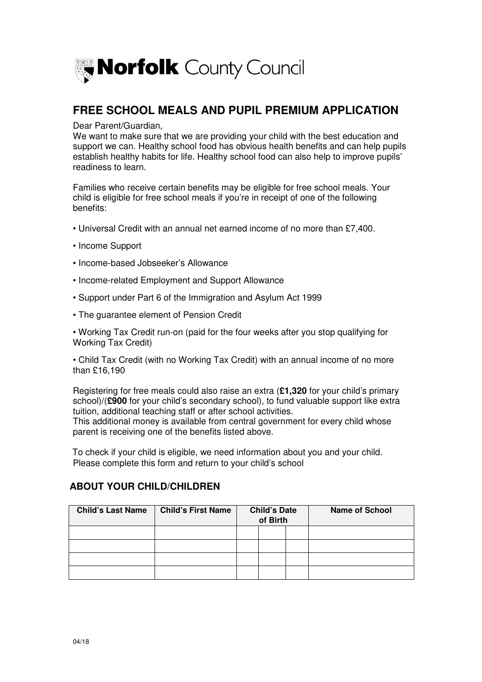

# **FREE SCHOOL MEALS AND PUPIL PREMIUM APPLICATION**

Dear Parent/Guardian.

Dear Parent/Guardian,<br>We want to make sure that we are providing your child with the best education and support we can. Healthy school food has obvious health benefits and can help pupils establish healthy habits for life. Healthy school food can also help to improve pupils' readiness to learn.

 Families who receive certain benefits may be eligible for free school meals. Your child is eligible for free school meals if you're in receipt of one of the following benefits:

- benefits:<br>• Universal Credit with an annual net earned income of no more than £7,400.
- Income Support
- Income-based Jobseeker's Allowance
- Income-related Employment and Support Allowance
- Support under Part 6 of the Immigration and Asylum Act 1999
- The guarantee element of Pension Credit

 • Working Tax Credit run-on (paid for the four weeks after you stop qualifying for Working Tax Credit)

 • Child Tax Credit (with no Working Tax Credit) with an annual income of no more than £16,190

 Registering for free meals could also raise an extra (**£1,320** for your child's primary school)/(**£900** for your child's secondary school), to fund valuable support like extra tuition, additional teaching staff or after school activities.

 This additional money is available from central government for every child whose parent is receiving one of the benefits listed above.

 To check if your child is eligible, we need information about you and your child. Please complete this form and return to your child's school

#### **ABOUT YOUR CHILD/CHILDREN**

| <b>Child's Last Name</b> | <b>Child's First Name</b> |  | of Birth |  | <b>Child's Date</b> |  | <b>Name of School</b> |
|--------------------------|---------------------------|--|----------|--|---------------------|--|-----------------------|
|                          |                           |  |          |  |                     |  |                       |
|                          |                           |  |          |  |                     |  |                       |
|                          |                           |  |          |  |                     |  |                       |
|                          |                           |  |          |  |                     |  |                       |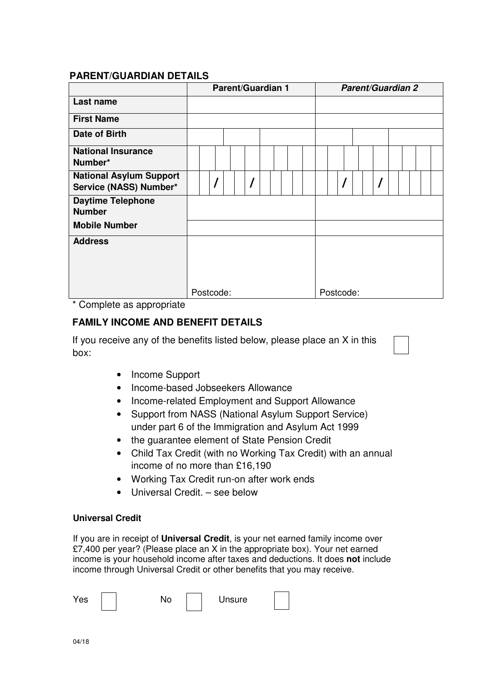### **PARENT/GUARDIAN DETAILS**

|                                                          | <b>Parent/Guardian 1</b> |  |  |  |  |  |  |  | <b>Parent/Guardian 2</b> |  |  |           |  |  |  |  |  |  |  |  |
|----------------------------------------------------------|--------------------------|--|--|--|--|--|--|--|--------------------------|--|--|-----------|--|--|--|--|--|--|--|--|
| Last name                                                |                          |  |  |  |  |  |  |  |                          |  |  |           |  |  |  |  |  |  |  |  |
| <b>First Name</b>                                        |                          |  |  |  |  |  |  |  |                          |  |  |           |  |  |  |  |  |  |  |  |
| Date of Birth                                            |                          |  |  |  |  |  |  |  |                          |  |  |           |  |  |  |  |  |  |  |  |
| <b>National Insurance</b><br>Number*                     |                          |  |  |  |  |  |  |  |                          |  |  |           |  |  |  |  |  |  |  |  |
| <b>National Asylum Support</b><br>Service (NASS) Number* |                          |  |  |  |  |  |  |  |                          |  |  |           |  |  |  |  |  |  |  |  |
| <b>Daytime Telephone</b><br><b>Number</b>                |                          |  |  |  |  |  |  |  |                          |  |  |           |  |  |  |  |  |  |  |  |
| <b>Mobile Number</b>                                     |                          |  |  |  |  |  |  |  |                          |  |  |           |  |  |  |  |  |  |  |  |
| <b>Address</b>                                           |                          |  |  |  |  |  |  |  |                          |  |  |           |  |  |  |  |  |  |  |  |
|                                                          | Postcode:                |  |  |  |  |  |  |  |                          |  |  | Postcode: |  |  |  |  |  |  |  |  |
| * Complete as appropriate                                |                          |  |  |  |  |  |  |  |                          |  |  |           |  |  |  |  |  |  |  |  |

## **FAMILY INCOME AND BENEFIT DETAILS**

 If you receive any of the benefits listed below, please place an X in this box:

- Income Support
- Income-based Jobseekers Allowance
- Income-related Employment and Support Allowance
- • Support from NASS (National Asylum Support Service) under part 6 of the Immigration and Asylum Act 1999
- the guarantee element of State Pension Credit
- • Child Tax Credit (with no Working Tax Credit) with an annual income of no more than £16,190
- Working Tax Credit run-on after work ends
- Universal Credit. see below

#### **Universal Credit**

 If you are in receipt of **Universal Credit**, is your net earned family income over £7,400 per year? (Please place an X in the appropriate box). Your net earned income is your household income after taxes and deductions. It does **not** include income through Universal Credit or other benefits that you may receive.

| Yes | ື | <b>Jnsure</b> |  |
|-----|---|---------------|--|
|-----|---|---------------|--|